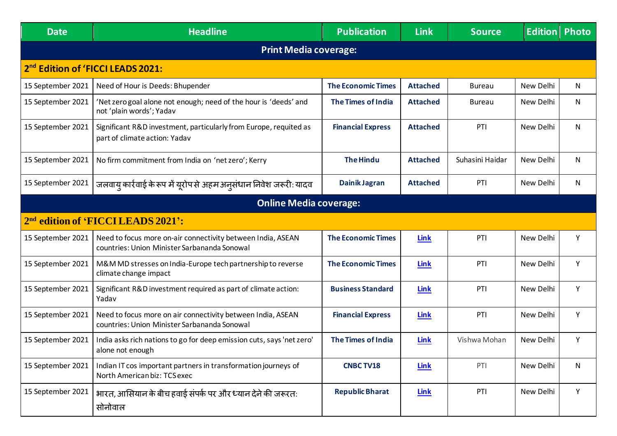| <b>Date</b>                                   | <b>Headline</b>                                                                                             | <b>Publication</b>        | <b>Link</b>     | <b>Source</b>   | <b>Edition</b> | <b>Photo</b> |  |  |
|-----------------------------------------------|-------------------------------------------------------------------------------------------------------------|---------------------------|-----------------|-----------------|----------------|--------------|--|--|
| <b>Print Media coverage:</b>                  |                                                                                                             |                           |                 |                 |                |              |  |  |
| 2 <sup>nd</sup> Edition of 'FICCI LEADS 2021: |                                                                                                             |                           |                 |                 |                |              |  |  |
| 15 September 2021                             | Need of Hour is Deeds: Bhupender                                                                            | <b>The Economic Times</b> | <b>Attached</b> | <b>Bureau</b>   | New Delhi      | N.           |  |  |
| 15 September 2021                             | 'Net zero goal alone not enough; need of the hour is 'deeds' and<br>not 'plain words'; Yadav                | <b>The Times of India</b> | <b>Attached</b> | <b>Bureau</b>   | New Delhi      | N            |  |  |
| 15 September 2021                             | Significant R&D investment, particularly from Europe, requited as<br>part of climate action: Yadav          | <b>Financial Express</b>  | <b>Attached</b> | PTI             | New Delhi      | N            |  |  |
| 15 September 2021                             | No firm commitment from India on 'net zero'; Kerry                                                          | <b>The Hindu</b>          | <b>Attached</b> | Suhasini Haidar | New Delhi      | $\mathsf{N}$ |  |  |
| 15 September 2021                             | जलवायु कार्रवाई के रूप में यूरोप से अहम अनुसंधान निवेश जरूरी: यादव                                          | <b>Dainik Jagran</b>      | <b>Attached</b> | PTI             | New Delhi      | N            |  |  |
| <b>Online Media coverage:</b>                 |                                                                                                             |                           |                 |                 |                |              |  |  |
|                                               | 2 <sup>nd</sup> edition of 'FICCI LEADS 2021':                                                              |                           |                 |                 |                |              |  |  |
| 15 September 2021                             | Need to focus more on-air connectivity between India, ASEAN<br>countries: Union Minister Sarbananda Sonowal | <b>The Economic Times</b> | <b>Link</b>     | PTI             | New Delhi      | Y            |  |  |
| 15 September 2021                             | M&M MD stresses on India-Europe tech partnership to reverse<br>climate change impact                        | <b>The Economic Times</b> | <b>Link</b>     | PTI             | New Delhi      | Y            |  |  |
| 15 September 2021                             | Significant R&D investment required as part of climate action:<br>Yadav                                     | <b>Business Standard</b>  | <b>Link</b>     | PTI             | New Delhi      | Y            |  |  |
| 15 September 2021                             | Need to focus more on air connectivity between India, ASEAN<br>countries: Union Minister Sarbananda Sonowal | <b>Financial Express</b>  | Link            | PTI             | New Delhi      | Y            |  |  |
| 15 September 2021                             | India asks rich nations to go for deep emission cuts, says 'net zero'<br>alone not enough                   | <b>The Times of India</b> | <u>Link</u>     | Vishwa Mohan    | New Delhi      | Y            |  |  |
| 15 September 2021                             | Indian IT cos important partners in transformation journeys of<br>North American biz: TCS exec              | <b>CNBC TV18</b>          | Link            | PTI             | New Delhi      | N            |  |  |
| 15 September 2021                             | भारत, आसियान के बीच हवाई संपर्क पर और ध्यान देने की जरूरत:<br>सोनोवाल                                       | <b>Republic Bharat</b>    | <b>Link</b>     | PTI             | New Delhi      | Y            |  |  |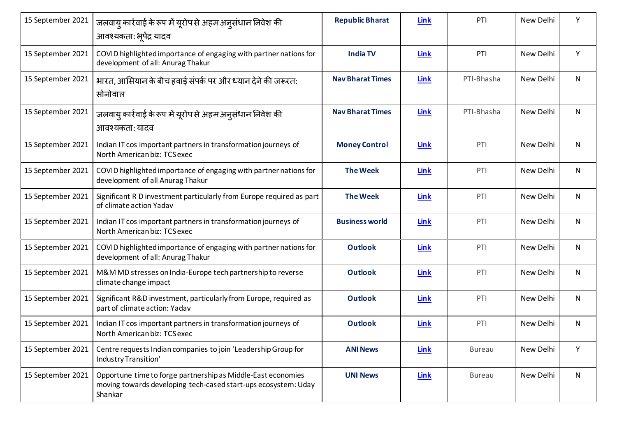| 15 September 2021 | जलवायु कार्रवाई के रूप में यूरोप से अहम अनुसंधान निवेश की<br>आवश्यकता: भूपेंद्र यादव                                                      | <b>Republic Bharat</b>  | <b>Link</b> | PTI           | New Delhi | Υ |
|-------------------|-------------------------------------------------------------------------------------------------------------------------------------------|-------------------------|-------------|---------------|-----------|---|
| 15 September 2021 | COVID highlighted importance of engaging with partner nations for<br>development of all: Anurag Thakur                                    | <b>India TV</b>         | <b>Link</b> | PTI           | New Delhi | Y |
| 15 September 2021 | भारत, आसियान के बीच हवाई संपर्क पर और ध्यान देने की जरूरत:<br>सोनोवाल                                                                     | <b>Nav Bharat Times</b> | <b>Link</b> | PTI-Bhasha    | New Delhi | N |
| 15 September 2021 | जलवाय् कार्रवाई के रूप में यूरोप से अहम अन् संधान निवेश की<br>आवश्यकता: यादव                                                              | <b>Nav Bharat Times</b> | <b>Link</b> | PTI-Bhasha    | New Delhi | N |
| 15 September 2021 | Indian IT cos important partners in transformation journeys of<br>North American biz: TCS exec                                            | <b>Money Control</b>    | <b>Link</b> | PTI           | New Delhi | N |
| 15 September 2021 | COVID highlighted importance of engaging with partner nations for<br>development of all Anurag Thakur                                     | <b>The Week</b>         | Link        | PTI           | New Delhi | N |
| 15 September 2021 | Significant R D investment particularly from Europe required as part<br>of climate action Yadav                                           | <b>The Week</b>         | <b>Link</b> | PTI           | New Delhi | N |
| 15 September 2021 | Indian IT cos important partners in transformation journeys of<br>North American biz: TCS exec                                            | <b>Business world</b>   | Link        | PTI           | New Delhi | N |
| 15 September 2021 | COVID highlighted importance of engaging with partner nations for<br>development of all: Anurag Thakur                                    | <b>Outlook</b>          | <b>Link</b> | PTI           | New Delhi | N |
| 15 September 2021 | M&M MD stresses on India-Europe tech partnership to reverse<br>climate change impact                                                      | <b>Outlook</b>          | Link        | PTI           | New Delhi | N |
| 15 September 2021 | Significant R&D investment, particularly from Europe, required as<br>part of climate action: Yadav                                        | <b>Outlook</b>          | <b>Link</b> | PTI           | New Delhi | N |
| 15 September 2021 | Indian IT cos important partners in transformation journeys of<br>North American biz: TCS exec                                            | <b>Outlook</b>          | Link        | PTI           | New Delhi | N |
| 15 September 2021 | Centre requests Indian companies to join 'Leadership Group for<br>Industry Transition'                                                    | <b>ANI News</b>         | Link        | <b>Bureau</b> | New Delhi | Y |
| 15 September 2021 | Opportune time to forge partnership as Middle-East economies<br>moving towards developing tech-cased start-ups ecosystem: Uday<br>Shankar | <b>UNI News</b>         | Link        | <b>Bureau</b> | New Delhi | N |
|                   |                                                                                                                                           |                         |             |               |           |   |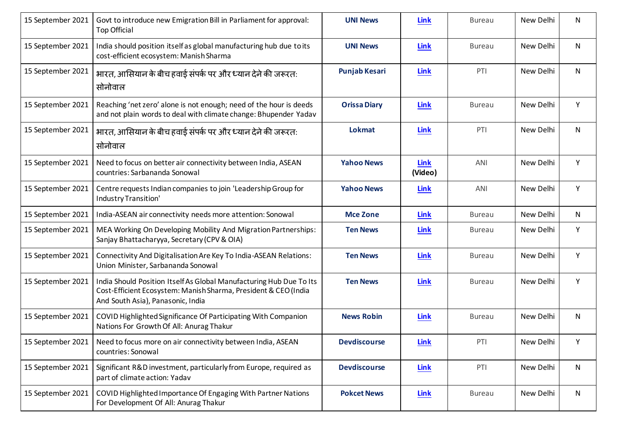| 15 September 2021 | Govt to introduce new Emigration Bill in Parliament for approval:<br>Top Official                                                                                           | <b>UNI News</b>      | <b>Link</b>     | <b>Bureau</b> | New Delhi | N            |
|-------------------|-----------------------------------------------------------------------------------------------------------------------------------------------------------------------------|----------------------|-----------------|---------------|-----------|--------------|
| 15 September 2021 | India should position itself as global manufacturing hub due to its<br>cost-efficient ecosystem: Manish Sharma                                                              | <b>UNI News</b>      | Link            | <b>Bureau</b> | New Delhi | N            |
| 15 September 2021 | भारत, आसियान के बीच हवाई संपर्क पर और ध्यान देने की जरूरत:<br>सोनोवाल                                                                                                       | <b>Punjab Kesari</b> | Link            | PTI           | New Delhi | N            |
| 15 September 2021 | Reaching 'net zero' alone is not enough; need of the hour is deeds<br>and not plain words to deal with climate change: Bhupender Yadav                                      | <b>Orissa Diary</b>  | <b>Link</b>     | <b>Bureau</b> | New Delhi | Y            |
| 15 September 2021 | भारत, आसियान के बीच हवाई संपर्क पर और ध्यान देने की जरूरत:<br>सोनोवाल                                                                                                       | <b>Lokmat</b>        | <b>Link</b>     | PTI           | New Delhi | N            |
| 15 September 2021 | Need to focus on better air connectivity between India, ASEAN<br>countries: Sarbananda Sonowal                                                                              | <b>Yahoo News</b>    | Link<br>(Video) | ANI           | New Delhi | Y            |
| 15 September 2021 | Centre requests Indian companies to join 'Leadership Group for<br>Industry Transition'                                                                                      | <b>Yahoo News</b>    | Link            | ANI           | New Delhi | Υ            |
| 15 September 2021 | India-ASEAN air connectivity needs more attention: Sonowal                                                                                                                  | <b>Mce Zone</b>      | Link            | <b>Bureau</b> | New Delhi | N            |
| 15 September 2021 | MEA Working On Developing Mobility And Migration Partnerships:<br>Sanjay Bhattacharyya, Secretary (CPV & OIA)                                                               | <b>Ten News</b>      | Link            | <b>Bureau</b> | New Delhi | Υ            |
| 15 September 2021 | Connectivity And Digitalisation Are Key To India-ASEAN Relations:<br>Union Minister, Sarbananda Sonowal                                                                     | <b>Ten News</b>      | <b>Link</b>     | <b>Bureau</b> | New Delhi | Y            |
| 15 September 2021 | India Should Position Itself As Global Manufacturing Hub Due To Its<br>Cost-Efficient Ecosystem: Manish Sharma, President & CEO (India<br>And South Asia), Panasonic, India | <b>Ten News</b>      | Link            | <b>Bureau</b> | New Delhi | Υ            |
| 15 September 2021 | COVID Highlighted Significance Of Participating With Companion<br>Nations For Growth Of All: Anurag Thakur                                                                  | <b>News Robin</b>    | <b>Link</b>     | <b>Bureau</b> | New Delhi | N            |
|                   | 15 September 2021   Need to focus more on air connectivity between India, ASEAN<br>countries: Sonowal                                                                       | <b>Devdiscourse</b>  | <b>Link</b>     | PTI           | New Delhi |              |
| 15 September 2021 | Significant R&D investment, particularly from Europe, required as<br>part of climate action: Yadav                                                                          | <b>Devdiscourse</b>  | <b>Link</b>     | PTI           | New Delhi | $\mathsf{N}$ |
| 15 September 2021 | COVID Highlighted Importance Of Engaging With Partner Nations<br>For Development Of All: Anurag Thakur                                                                      | <b>Pokcet News</b>   | <b>Link</b>     | <b>Bureau</b> | New Delhi | $\mathsf{N}$ |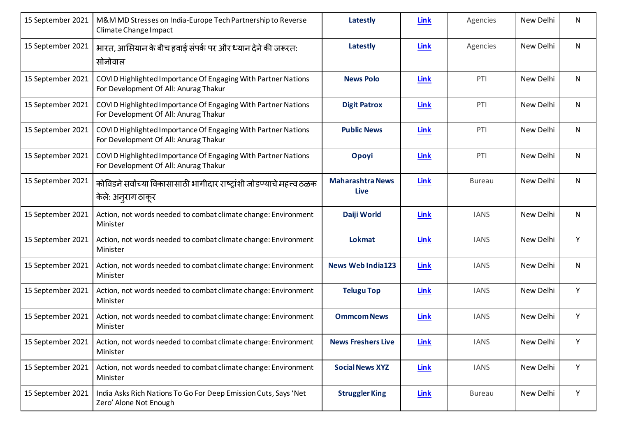| 15 September 2021 | M&M MD Stresses on India-Europe Tech Partnership to Reverse<br>Climate Change Impact                   | Latestly                               | Link        | Agencies      | New Delhi | N  |
|-------------------|--------------------------------------------------------------------------------------------------------|----------------------------------------|-------------|---------------|-----------|----|
| 15 September 2021 | भारत, आसियान के बीच हवाई संपर्क पर और ध्यान देने की जरूरत:<br>सोनोवाल                                  | Latestly                               | Link        | Agencies      | New Delhi | N. |
| 15 September 2021 | COVID Highlighted Importance Of Engaging With Partner Nations<br>For Development Of All: Anurag Thakur | <b>News Polo</b>                       | Link        | PTI           | New Delhi | N  |
| 15 September 2021 | COVID Highlighted Importance Of Engaging With Partner Nations<br>For Development Of All: Anurag Thakur | <b>Digit Patrox</b>                    | <b>Link</b> | PTI           | New Delhi | N  |
| 15 September 2021 | COVID Highlighted Importance Of Engaging With Partner Nations<br>For Development Of All: Anurag Thakur | <b>Public News</b>                     | Link        | PTI           | New Delhi | N  |
| 15 September 2021 | COVID Highlighted Importance Of Engaging With Partner Nations<br>For Development Of All: Anurag Thakur | Opoyi                                  | <b>Link</b> | PTI           | New Delhi | N  |
| 15 September 2021 | कोविडने सर्वांच्या विकासासाठी भागीदार राष्ट्रांशी जोडण्याचे महत्त्व ठळक<br>केले: अनुराग ठाकूर          | <b>Maharashtra News</b><br><b>Live</b> | Link        | <b>Bureau</b> | New Delhi | N  |
| 15 September 2021 | Action, not words needed to combat climate change: Environment<br>Minister                             | Daiji World                            | Link        | <b>IANS</b>   | New Delhi | N  |
| 15 September 2021 | Action, not words needed to combat climate change: Environment<br>Minister                             | Lokmat                                 | Link        | <b>IANS</b>   | New Delhi | Y  |
| 15 September 2021 | Action, not words needed to combat climate change: Environment<br>Minister                             | <b>News Web India123</b>               | Link        | <b>IANS</b>   | New Delhi | N  |
| 15 September 2021 | Action, not words needed to combat climate change: Environment<br>Minister                             | <b>Telugu Top</b>                      | <b>Link</b> | <b>IANS</b>   | New Delhi | Υ  |
| 15 September 2021 | Action, not words needed to combat climate change: Environment<br>Minister                             | <b>Ommcom News</b>                     | Link        | <b>IANS</b>   | New Delhi | Υ  |
| 15 September 2021 | Action, not words needed to combat climate change: Environment<br>Minister                             | <b>News Freshers Live</b>              | <b>Link</b> | <b>IANS</b>   | New Delhi | Υ  |
| 15 September 2021 | Action, not words needed to combat climate change: Environment<br>Minister                             | <b>Social News XYZ</b>                 | <b>Link</b> | <b>IANS</b>   | New Delhi | Y  |
| 15 September 2021 | India Asks Rich Nations To Go For Deep Emission Cuts, Says 'Net<br>Zero' Alone Not Enough              | <b>Struggler King</b>                  | <b>Link</b> | <b>Bureau</b> | New Delhi | Y  |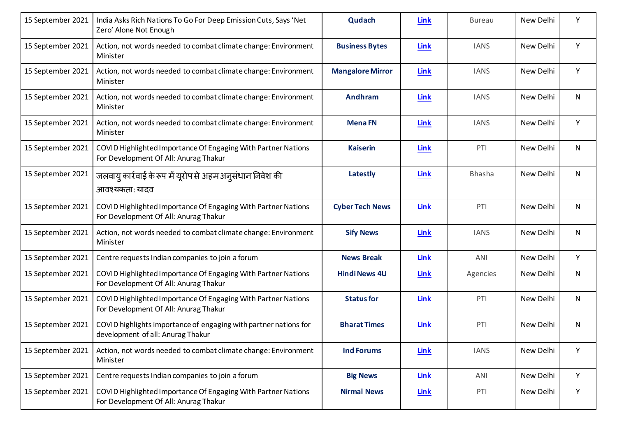| 15 September 2021 | India Asks Rich Nations To Go For Deep Emission Cuts, Says 'Net<br>Zero' Alone Not Enough              | Qudach                  | <b>Link</b> | <b>Bureau</b> | New Delhi | Y            |
|-------------------|--------------------------------------------------------------------------------------------------------|-------------------------|-------------|---------------|-----------|--------------|
| 15 September 2021 | Action, not words needed to combat climate change: Environment<br>Minister                             | <b>Business Bytes</b>   | <b>Link</b> | <b>IANS</b>   | New Delhi | Y            |
| 15 September 2021 | Action, not words needed to combat climate change: Environment<br>Minister                             | <b>Mangalore Mirror</b> | Link        | <b>IANS</b>   | New Delhi | Y            |
| 15 September 2021 | Action, not words needed to combat climate change: Environment<br>Minister                             | <b>Andhram</b>          | Link        | <b>IANS</b>   | New Delhi | N            |
| 15 September 2021 | Action, not words needed to combat climate change: Environment<br>Minister                             | <b>MenaFN</b>           | Link        | <b>IANS</b>   | New Delhi | Y            |
| 15 September 2021 | COVID Highlighted Importance Of Engaging With Partner Nations<br>For Development Of All: Anurag Thakur | <b>Kaiserin</b>         | Link        | PTI           | New Delhi | $\mathsf{N}$ |
| 15 September 2021 | जलवायु कार्रवाई के रूप में यूरोप से अहम अनुसंधान निवेश की<br>आवश्यकताः यादव                            | Latestly                | Link        | <b>Bhasha</b> | New Delhi | N            |
| 15 September 2021 | COVID Highlighted Importance Of Engaging With Partner Nations<br>For Development Of All: Anurag Thakur | <b>Cyber Tech News</b>  | Link        | PTI           | New Delhi | N            |
| 15 September 2021 | Action, not words needed to combat climate change: Environment<br>Minister                             | <b>Sify News</b>        | <b>Link</b> | <b>IANS</b>   | New Delhi | $\mathsf{N}$ |
| 15 September 2021 | Centre requests Indian companies to join a forum                                                       | <b>News Break</b>       | Link        | ANI           | New Delhi | Y            |
| 15 September 2021 | COVID Highlighted Importance Of Engaging With Partner Nations<br>For Development Of All: Anurag Thakur | <b>Hindi News 4U</b>    | Link        | Agencies      | New Delhi | N            |
| 15 September 2021 | COVID Highlighted Importance Of Engaging With Partner Nations<br>For Development Of All: Anurag Thakur | <b>Status for</b>       | <b>Link</b> | PTI           | New Delhi | N            |
| 15 September 2021 | COVID highlights importance of engaging with partner nations for<br>development of all: Anurag Thakur  | <b>Bharat Times</b>     | <b>Link</b> | PTI           | New Delhi | $\mathsf{N}$ |
| 15 September 2021 | Action, not words needed to combat climate change: Environment<br>Minister                             | <b>Ind Forums</b>       | <b>Link</b> | <b>IANS</b>   | New Delhi | Υ            |
| 15 September 2021 | Centre requests Indian companies to join a forum                                                       | <b>Big News</b>         | <b>Link</b> | ANI           | New Delhi | Y            |
| 15 September 2021 | COVID Highlighted Importance Of Engaging With Partner Nations<br>For Development Of All: Anurag Thakur | <b>Nirmal News</b>      | <b>Link</b> | PTI           | New Delhi | Y            |